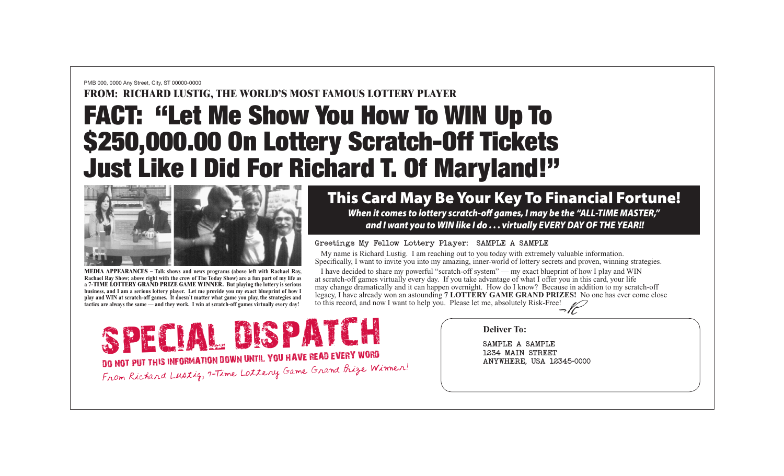### PMB 000, 0000 Any Street, City, ST 00000-0000

## **FROM: RICHARD LUSTIG, THE WORLD'S MOST FAMOUS LOTTERY PLAYER**

# FACT: "Let Me Show You How To WIN Up To \$250,000.00 On Lottery Scratch-Off Tickets Just Like I Did For Richard T. Of Maryland!"



**MEDIA APPEARANCES – Talk shows and news programs (above left with Rachael Ray, Rachael Ray Show; above right with the crew of The Today Show) are a fun part of my life as a 7-TIME LOTTERY GRAND PRIZE GAME WINNER. But playing the lottery is serious business, and I am a serious lottery player. Let me provide you my exact blueprint of how I play and WIN at scratch-off games. It doesn't matter what game you play, the strategies and tactics are always the same — and they work. I win at scratch-off games virtually every day!**

# This Card May Be Your Key To Financial Fortune! *When it comes to lottery scratch-off games, I may be the "ALL-TIME MASTER," and I want you to WIN like I do . . . virtually EVERY DAY OF THE YEAR!!*

## Greetings My Fellow Lottery Player: SAMPLE A SAMPLE

 My name is Richard Lustig. I am reaching out to you today with extremely valuable information. Specifically, I want to invite you into my amazing, inner-world of lottery secrets and proven, winning strategies.

 $\frac{1}{\sqrt{2}}$  I have decided to share my powerful "scratch-off system" — my exact blueprint of how I play and WIN at scratch-off games virtually every day. If you take advantage of what I offer you in this card, your life may change dramatically and it can happen overnight. How do I know? Because in addition to my scratch-off legacy, I have already won an astounding **7 LOTTERY GAME GRAND PRIZES!** No one has ever come close to this record, and now I want to help you. Please let me, absolutely Risk-Free!

SPECIAL DISPATCH Deliver To:<br>
1234 MAIN STREET 1234 MAIN STREET **DO NOT PUT THIS INFORMATION DOWN UNTIL YOU HAVE READ EVERY WORD NOT PUT THIS INFORMATION DOWN UNTIL YOU HAVE READ EVERY WORD** From Richard Lustig, 7-Time Lottery Game Grand Prize Winner!

### **Deliver To:**

SAMPLE A SAMPLE